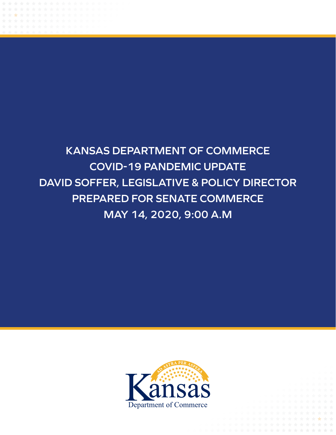# **KANSAS DEPARTMENT OF COMMERCE COVID-19 PANDEMIC UPDATE DAVID SOFFER, LEGISLATIVE & POLICY DIRECTOR PREPARED FOR SENATE COMMERCE MAY 14, 2020, 9:00 A.M**

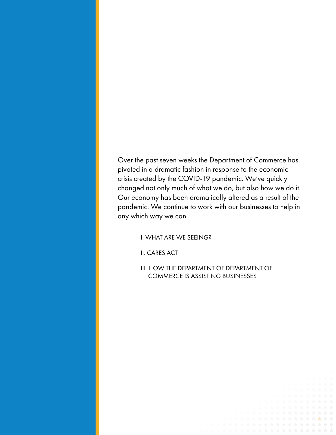Over the past seven weeks the Department of Commerce has pivoted in a dramatic fashion in response to the economic crisis created by the COVID-19 pandemic. We've quickly changed not only much of what we do, but also how we do it. Our economy has been dramatically altered as a result of the pandemic. We continue to work with our businesses to help in any which way we can.

## I. WHAT ARE WE SEEING?

II. CARES ACT

III. HOW THE DEPARTMENT OF DEPARTMENT OF COMMERCE IS ASSISTING BUSINESSES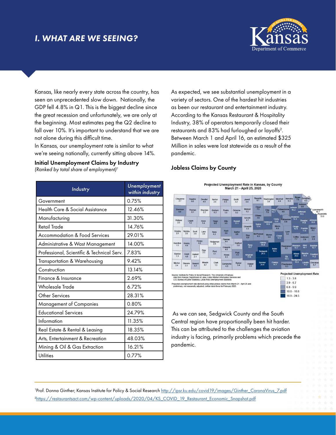# *I. WHAT ARE WE SEEING?*



Kansas, like nearly every state across the country, has seen an unprecedented slow down. Nationally, the GDP fell 4.8% in Q1. This is the biggest decline since the great recession and unfortunately, we are only at the beginning. Most estimates peg the Q2 decline to fall over 10%. It's important to understand that we are not alone during this difficult time.

In Kansas, our unemployment rate is similar to what we're seeing nationally, currently sitting above 14%.

Initial Unemployment Claims by Industry

*(Ranked by total share of employment)1*

| Industry                                   | Unemployment<br>within industry |  |  |  |  |
|--------------------------------------------|---------------------------------|--|--|--|--|
| Government                                 | 0.75%                           |  |  |  |  |
| Health Care & Social Assistance            | 12.46%                          |  |  |  |  |
| Manufacturing                              | 31.30%                          |  |  |  |  |
| <b>Retail Trade</b>                        | 14.76%                          |  |  |  |  |
| <b>Accommodation &amp; Food Services</b>   | 29.01%                          |  |  |  |  |
| Administrative & Wast Management           | 14.00%                          |  |  |  |  |
| Professional, Scientific & Technical Serv. | 7.83%                           |  |  |  |  |
| Transportation & Warehousing               | 9.42%                           |  |  |  |  |
| Construction                               | 13.14%                          |  |  |  |  |
| Finance & Insurance                        | 2.69%                           |  |  |  |  |
| Wholesale Trade                            | 6.72%                           |  |  |  |  |
| Other Services                             | 28.31%                          |  |  |  |  |
| Management of Companies                    | 0.80%                           |  |  |  |  |
| <b>Educational Services</b>                | 24.79%                          |  |  |  |  |
| Information                                | 11.35%                          |  |  |  |  |
| Real Estate & Rental & Leasing             | 18.35%                          |  |  |  |  |
| Arts, Entertainment & Recreation           | 48.03%                          |  |  |  |  |
| Mining & Oil & Gas Extraction              | 16.21%                          |  |  |  |  |
| Utilities                                  | 0.77%                           |  |  |  |  |

As expected, we see substantial unemployment in a variety of sectors. One of the hardest hit industries as been our restaurant and entertainment industry. According to the Kansas Restaurant & Hospitality Industry, 38% of operators temporarily closed their restaurants and 83% had furloughed or layoffs<sup>2</sup>. Between March 1 and April 16, an estimated \$325 Million in sales were lost statewide as a result of the pandemic.

#### Jobless Claims by County

Projected Unemployment Rate in Kansas, by County March 21 - April 25, 2020

| Chevenne<br>2.7       |                       | <b>Rawlins</b><br>6.0 | <b>Decatur</b><br>4.9 | Norton<br>26                                                                                                                                                                                                                    | <b>Phillips</b><br>6.5 | Smith<br>3.2           | Jewell<br>4.4      | <b>Republic</b><br>4.1  | Washington<br>3.8                         | Marshall<br>44       | Nemaha<br>5.3                                   | <b>Brown</b><br>7.6       | Doniphan<br>4.2<br><b>Atchison</b> |                         |                  |
|-----------------------|-----------------------|-----------------------|-----------------------|---------------------------------------------------------------------------------------------------------------------------------------------------------------------------------------------------------------------------------|------------------------|------------------------|--------------------|-------------------------|-------------------------------------------|----------------------|-------------------------------------------------|---------------------------|------------------------------------|-------------------------|------------------|
| Sherman<br>69         |                       | <b>Thomas</b><br>6.1  | Sheridan<br>2.2       | Graham<br>6.2                                                                                                                                                                                                                   | <b>Rooks</b><br>56     | Osborne<br>5.0         | Mitchell<br>5.2    | Cloud<br>7.5<br>Ottawa  | Clav<br>7.9                               | Riley<br>10.7        | Pottawatomie<br>80                              | Jackson<br>15.2           | 9.9<br>Jefferson<br>11.5           | Leavenworth<br>10.7     | <b>Wyandotte</b> |
| Wallace<br>23         | Logan<br>52           |                       | Gove<br>5.8           | Trego<br>96                                                                                                                                                                                                                     | <b>Ellis</b><br>95     | <b>Russell</b><br>11.1 | Lincoln<br>4.7     | 7.6<br><b>Saline</b>    | <b>Dickinson</b><br>11.9                  | 13.8                 | Geary Wabaunsee<br>8.4                          | <b>Shawnee</b><br>14.3    | <b>Douglas</b><br>14.8             | <b>Johnson</b><br>10.8  | 13.3             |
| Greeley               | Wichita               | Scott                 | Lane                  | <b>Ness</b>                                                                                                                                                                                                                     | <b>Rush</b>            | Barton                 | Ellsworth<br>5.9   | 12.4                    |                                           | <b>Morris</b><br>8.9 | Lyon                                            | Osage<br>$10.\bar{9}$     | Franklin<br>11.8                   | Miami<br>9.2            |                  |
| 2.1                   | 3.0                   | 3.6                   | 3.6                   | 4.3                                                                                                                                                                                                                             | 8.6<br>Pawnee          | 8.6                    | <b>Rice</b><br>8.0 | <b>McPherson</b><br>8.0 | <b>Marion</b><br>94                       | Chase<br>12.2        | 9.2                                             | Coffey<br>7.7             | Anderson<br>7.9                    | Linn<br>8.9             |                  |
| Hamilton<br>1.5       | Kearny<br>4.8         |                       | Finney<br>6.6         | Hodgeman<br>2.5                                                                                                                                                                                                                 | 4.6<br><b>Edwards</b>  | <b>Stafford</b><br>5.0 | Reno<br>13.7       | Harvey                  | 14.8                                      |                      | Greenwood                                       | Woodson<br>10.7           | Allen<br>10.7                      | <b>Bourbon</b><br>10.7  |                  |
| <b>Stanton</b><br>1.3 | Grant                 | Haskell               | Gray<br>25            | Ford<br>5.1                                                                                                                                                                                                                     | 4.0<br>Kiowa           | Pratt<br>7.6           | Kingman            |                         | <b>Butler</b><br>19.5<br>Sedawick<br>24.5 |                      | 93                                              | Wilson<br>23.4            | Neosho<br>11.9                     | Crawford                |                  |
| <b>Morton</b><br>24   | 4.0<br><b>Stevens</b> | 2.1<br>Seward         | Meade<br>3.7          | Clark<br>1.3                                                                                                                                                                                                                    | 4.3<br>Comanche        | <b>Barber</b><br>5.4   | 130<br>Harper      | Sumner<br>24.4          |                                           | Cowley<br>14.7       | Elk<br>10.5<br>Chautauqua                       | <b>Montgomery</b><br>16.8 | Labette<br>11.2                    | 11.2<br>Cherokee<br>6.7 |                  |
|                       | 22                    | 5.7                   |                       |                                                                                                                                                                                                                                 | 4.3                    |                        | 6.3                |                         |                                           |                      | 9.3                                             |                           |                                    |                         |                  |
|                       |                       |                       |                       | ource: Institute for Policy & Social Research, The University of Kansas;<br>data from Kansas Department of Labor, Labor Market Information Services and<br>U.S. Bureau of Labor Statistics, Local Area Unemployment Statistics. |                        |                        |                    |                         |                                           |                      | <b>Projected Unemployment Rate</b><br>$39 - 67$ | $1.3 - 3.8$               |                                    |                         |                  |



 As we can see, Sedgwick County and the South Central region have proportionally been hit harder. This can be attributed to the challenges the aviation industry is facing, primarily problems which precede the pandemic.

<sup>1</sup>Prof. Donna Ginther; Kansas Institute for Policy & Social Research <u>[http://ipsr.ku.edu/covid19/images/Ginther\\_CoronaVirus\\_7.pdf](http://ipsr.ku.edu/covid19/images/Ginther_CoronaVirus_7.pdf)</u> 2 [https://restaurantsact.com/wp-content/uploads/2020/04/KS\\_COVID\\_19\\_Restaurant\\_Economic\\_Snapshot.pdf](https://restaurantsact.com/wp-content/uploads/2020/04/KS_COVID_19_Restaurant_Economic_Snapshot.pdf)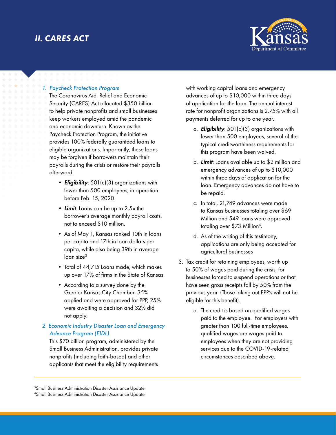# *II. CARES ACT*



### *1. Paycheck Protection Program*

The Coronavirus Aid, Relief and Economic Security (CARES) Act allocated \$350 billion to help private nonprofits and small businesses keep workers employed amid the pandemic and economic downturn. Known as the Paycheck Protection Program, the initiative provides 100% federally guaranteed loans to eligible organizations. Importantly, these loans may be forgiven if borrowers maintain their payrolls during the crisis or restore their payrolls afterward.

- *• Eligibility*: 501(c)(3) organizations with fewer than 500 employees, in operation before Feb. 15, 2020.
- *• Limit*: Loans can be up to 2.5x the borrower's average monthly payroll costs, not to exceed \$10 million.
- As of May 1, Kansas ranked 10th in loans per capita and 17th in loan dollars per capita, while also being 39th in average loan size<sup>3</sup>
- Total of 44,715 Loans made, which makes up over 17% of firms in the State of Kansas
- According to a survey done by the Greater Kansas City Chamber, 35% applied and were approved for PPP, 25% were awaiting a decision and 32% did not apply.

# *2. Economic Industry Disaster Loan and Emergency Advance Program (EIDL)*

This \$70 billion program, administered by the Small Business Administration, provides private nonprofits (including faith-based) and other applicants that meet the eligibility requirements with working capital loans and emergency advances of up to \$10,000 within three days of application for the loan. The annual interest rate for nonprofit organizations is 2.75% with all payments deferred for up to one year.

- a. *Eligibility*: 501(c)(3) organizations with fewer than 500 employees, several of the typical creditworthiness requirements for this program have been waived.
- b. *Limit*: Loans available up to \$2 million and emergency advances of up to \$10,000 within three days of application for the loan. Emergency advances do not have to be repaid.
- c. In total, 21,749 advances were made to Kansas businesses totaling over \$69 Million and 549 loans were approved totaling over \$73 Million<sup>4</sup>.
- d. As of the writing of this testimony, applications are only being accepted for agricultural businesses
- 3. Tax credit for retaining employees, worth up to 50% of wages paid during the crisis, for businesses forced to suspend operations or that have seen gross receipts fall by 50% from the previous year. (Those taking out PPP's will not be eligible for this benefit).
	- a. The credit is based on qualified wages paid to the employee. For employers with greater than 100 full-time employees, qualified wages are wages paid to employees when they are not providing services due to the COVID-19-related circumstances described above.

<sup>3</sup>Small Business Administration Disaster Assistance Update 4 Small Business Administration Disaster Assistance Update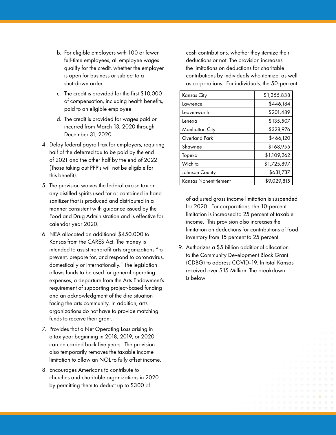- b. For eligible employers with 100 or fewer full-time employees, all employee wages qualify for the credit, whether the employer is open for business or subject to a shut-down order.
- c. The credit is provided for the first \$10,000 of compensation, including health benefits, paid to an eligible employee.
- d. The credit is provided for wages paid or incurred from March 13, 2020 through December 31, 2020.
- 4. Delay federal payroll tax for employers, requiring half of the deferred tax to be paid by the end of 2021 and the other half by the end of 2022 (Those taking out PPP's will not be eligible for this benefit).
- 5. The provision waives the federal excise tax on any distilled spirits used for or contained in hand sanitizer that is produced and distributed in a manner consistent with guidance issued by the Food and Drug Administration and is effective for calendar year 2020.
- 6. NEA allocated an additional \$450,000 to Kansas from the CARES Act. The money is intended to assist nonprofit arts organizations "to prevent, prepare for, and respond to coronavirus, domestically or internationally." The legislation allows funds to be used for general operating expenses, a departure from the Arts Endowment's requirement of supporting project-based funding and an acknowledgment of the dire situation facing the arts community. In addition, arts organizations do not have to provide matching funds to receive their grant.
- 7. Provides that a Net Operating Loss arising in a tax year beginning in 2018, 2019, or 2020 can be carried back five years. The provision also temporarily removes the taxable income limitation to allow an NOL to fully offset income.
- 8. Encourages Americans to contribute to churches and charitable organizations in 2020 by permitting them to deduct up to \$300 of

cash contributions, whether they itemize their deductions or not. The provision increases the limitations on deductions for charitable contributions by individuals who itemize, as well as corporations. For individuals, the 50-percent

| Kansas City           | \$1,355,838 |
|-----------------------|-------------|
| Lawrence              | \$446,184   |
| Leavenworth           | \$201,489   |
| Lenexa                | \$135,507   |
| Manhattan City        | \$328,976   |
| Overland Park         | \$466,120   |
| Shawnee               | \$168,955   |
| Topeka                | \$1,109,262 |
| Wichita               | \$1,725,897 |
| Johnson County        | \$631,737   |
| Kansas Nonentitlement | \$9,029,815 |

of adjusted gross income limitation is suspended for 2020. For corporations, the 10-percent limitation is increased to 25 percent of taxable income. This provision also increases the limitation on deductions for contributions of food inventory from 15 percent to 25 percent.

9. Authorizes a \$5 billion additional allocation to the Community Development Block Grant (CDBG) to address COVID-19. In total Kansas received over \$15 Million. The breakdown is below: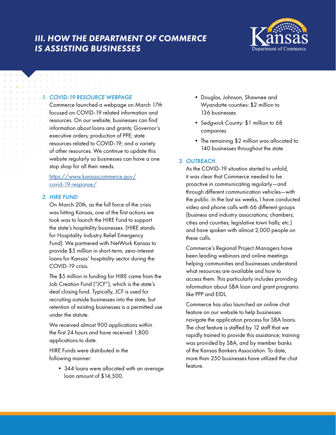# *III. HOW THE DEPARTMENT OF COMMERCE IS ASSISTING BUSINESSES*



#### *1. COVID-19 RESOURCE WEBPAGE*

Commerce launched a webpage on March 17th focused on COVID-19 related information and resources. On our website, businesses can find information about loans and grants; Governor's executive orders; production of PPE; state resources related to COVID-19; and a variety of other resources. We continue to update this website regularly so businesses can have a one stop shop for all their needs.

## [https://www.kansascommerce.gov/](https://www.kansascommerce.gov/ covid-19-response/) [covid-19-response/](https://www.kansascommerce.gov/ covid-19-response/)

#### *2. HIRE FUND*

On March 20th, as the full force of the crisis was hitting Kansas, one of the first actions we took was to launch the HIRE Fund to support the state's hospitality businesses. (HIRE stands for Hospitality Industry Relief Emergency Fund). We partnered with NetWork Kansas to provide \$5 million in short-term, zero-interest loans for Kansas' hospitality sector during the COVID-19 crisis.

The \$5 million in funding for HIRE came from the Job Creation Fund ("JCF"), which is the state's deal closing fund. Typically, JCF is used for recruiting outside businesses into the state, but retention of existing businesses is a permitted use under the statute.

We received almost 900 applications within the first 24 hours and have received 1,800 applications to date.

HIRE Funds were distributed in the following manner:

> • 344 loans were allocated with an average loan amount of \$14,500.

- Douglas, Johnson, Shawnee and Wyandotte counties: \$2 million to 136 businesses
- Sedgwick County: \$1 million to 68 companies
- The remaining \$2 million was allocated to 140 businesses throughout the state.

#### *3. OUTREACH*

As the COVID-19 situation started to unfold, it was clear that Commerce needed to be proactive in communicating regularly—and through different communication vehicles—with the public. In the last six weeks, I have conducted video and phone calls with 66 different groups (business and industry associations; chambers; cities and counties; legislative town halls; etc.) and have spoken with almost 2,000 people on these calls.

Commerce's Regional Project Managers have been leading webinars and online meetings helping communities and businesses understand what resources are available and how to access them. This particularly includes providing information about SBA loan and grant programs like PPP and EIDL.

Commerce has also launched an online chat feature on our website to help businesses navigate the application process for SBA loans. The chat feature is staffed by 12 staff that we rapidly trained to provide this assistance; training was provided by SBA, and by member banks of the Kansas Bankers Association. To date, more than 250 businesses have utilized the chat feature.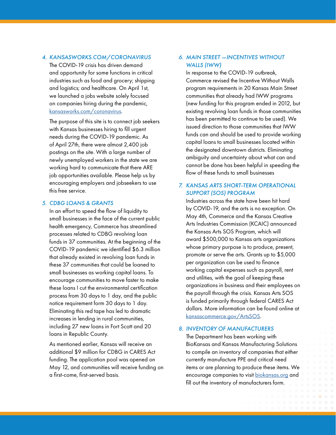### *4. KANSASWORKS.COM/CORONAVIRUS*

The COVID-19 crisis has driven demand and opportunity for some functions in critical industries such as food and grocery; shipping and logistics; and healthcare. On April 1st, we launched a jobs website solely focused on companies hiring during the pandemic, [kansasworks.com/coronavirus.](http://kansasworks.com/coronavirus)

The purpose of this site is to connect job seekers with Kansas businesses hiring to fill urgent needs during the COVID-19 pandemic. As of April 27th, there were almost 2,400 job postings on the site. With a large number of newly unemployed workers in the state we are working hard to communicate that there ARE job opportunities available. Please help us by encouraging employers and jobseekers to use this free service.

#### *5. CDBG LOANS & GRANTS*

In an effort to speed the flow of liquidity to small businesses in the face of the current public health emergency, Commerce has streamlined processes related to CDBG revolving loan funds in 37 communities. At the beginning of the COVID-19 pandemic we identified \$6.3 million that already existed in revolving loan funds in these 37 communities that could be loaned to small businesses as working capital loans. To encourage communities to move faster to make these loans I cut the environmental certification process from 30 days to 1 day, and the public notice requirement form 30 days to 1 day. Eliminating this red tape has led to dramatic increases in lending in rural communities, including 27 new loans in Fort Scott and 20 loans in Republic County.

As mentioned earlier, Kansas will receive an additional \$9 million for CDBG in CARES Act funding. The application pool was opened on May 12, and communities will receive funding on a first-come, first-served basis.

# *6. MAIN STREET —INCENTIVES WITHOUT WALLS (IWW)*

In response to the COVID-19 outbreak, Commerce revised the Incentive Without Walls program requirements in 20 Kansas Main Street communities that already had IWW programs (new funding for this program ended in 2012, but existing revolving loan funds in those communities has been permitted to continue to be used). We issued direction to those communities that IWW funds can and should be used to provide working capital loans to small businesses located within the designated downtown districts. Eliminating ambiguity and uncertainty about what can and cannot be done has been helpful in speeding the flow of these funds to small businesses

# *7. KANSAS ARTS SHORT-TERM OPERATIONAL SUPPORT (SOS) PROGRAM*

Industries across the state have been hit hard by COVID-19, and the arts is no exception. On May 4th, Commerce and the Kansas Creative Arts Industries Commission (KCAIC) announced the Kansas Arts SOS Program, which will award \$500,000 to Kansas arts organizations whose primary purpose is to produce, present, promote or serve the arts. Grants up to \$5,000 per organization can be used to finance working capital expenses such as payroll, rent and utilities, with the goal of keeping these organizations in business and their employees on the payroll through the crisis. Kansas Arts SOS is funded primarily through federal CARES Act dollars. More information can be found online at [kansascommerce.gov/ArtsSOS](http://kansascommerce.gov/ArtsSOS).

#### *8. INVENTORY OF MANUFACTURERS*

The Department has been working with BioKansas and Kansas Manufacturing Solutions to compile an inventory of companies that either currently manufacture PPE and critical need items or are planning to produce these items. We encourage companies to visit [biokansas.org](http://biokansas.org) and fill out the inventory of manufacturers form.